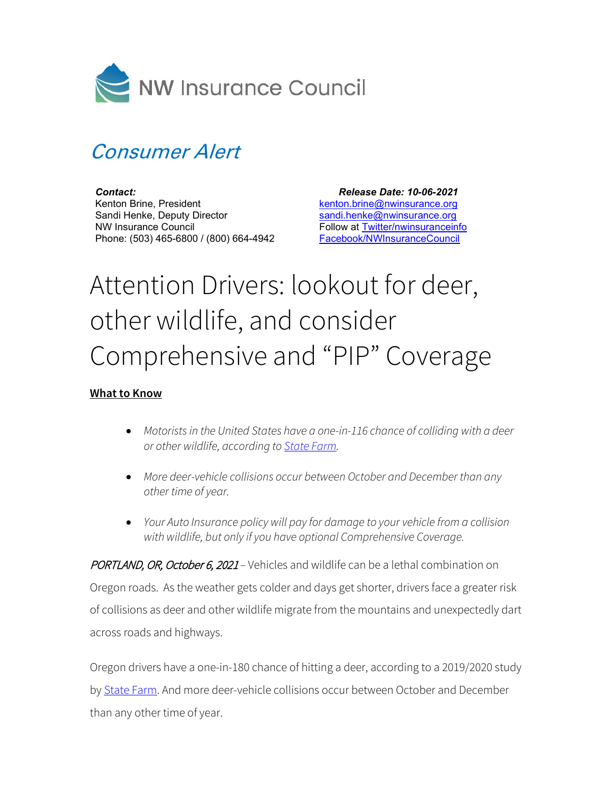

## Consumer Alert

*Contact:* Kenton Brine, President Sandi Henke, Deputy Director NW Insurance Council Phone: (503) 465-6800 / (800) 664-4942

 *Release Date: 10-06-2021* kenton.brine@nwinsurance.org sandi.henke@nwinsurance.org Follow at Twitter/nwinsuranceinfo Facebook/NWInsuranceCouncil

## Attention Drivers: lookout for deer, other wildlife, and consider Comprehensive and "PIP" Coverage

## **What to Know**

- *Motorists in the United States have a one-in-116 chance of colliding with a deer or other wildlife, according to State Farm.*
- *More deer-vehicle collisions occur between October and December than any other time of year.*
- *Your Auto Insurance policy will pay for damage to your vehicle from a collision with wildlife, but only if you have optional Comprehensive Coverage.*

PORTLAND, OR, October 6, 2021 – Vehicles and wildlife can be a lethal combination on Oregon roads. As the weather gets colder and days get shorter, drivers face a greater risk of collisions as deer and other wildlife migrate from the mountains and unexpectedly dart across roads and highways.

Oregon drivers have a one-in-180 chance of hitting a deer, according to a 2019/2020 study by State Farm. And more deer-vehicle collisions occur between October and December than any other time of year.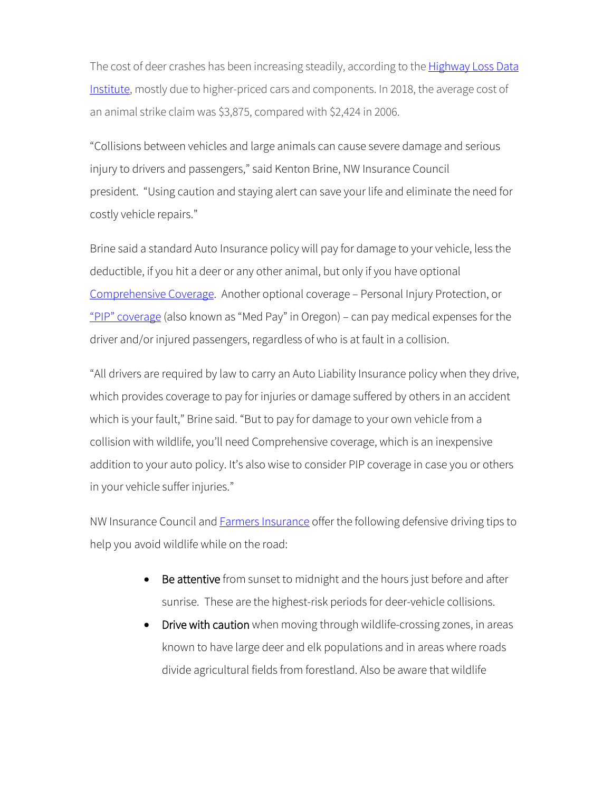The cost of deer crashes has been increasing steadily, according to the **Highway Loss Data** [Institute,](https://www.iihs.org/news/detail/deer-season-means-animal-strike-season-on-the-roads) mostly due to higher-priced cars and components. In 2018, the average cost of an animal strike claim was \$3,875, compared with \$2,424 in 2006.

"Collisions between vehicles and large animals can cause severe damage and serious injury to drivers and passengers," said Kenton Brine, NW Insurance Council president. "Using caution and staying alert can save your life and eliminate the need for costly vehicle repairs."

Brine said a standard Auto Insurance policy will pay for damage to your vehicle, less the deductible, if you hit a deer or any other animal, but only if you have optional [Comprehensive Coverage.](http://www.nwinsurance.org/in_autopolicy.htm) Another optional coverage – Personal Injury Protection, or ["PIP" coverage](https://www.nwinsurance.org/auto-insurance-basics) (also known as "Med Pay" in Oregon) – can pay medical expenses for the driver and/or injured passengers, regardless of who is at fault in a collision.

"All drivers are required by law to carry an Auto Liability Insurance policy when they drive, which provides coverage to pay for injuries or damage suffered by others in an accident which is your fault," Brine said. "But to pay for damage to your own vehicle from a collision with wildlife, you'll need Comprehensive coverage, which is an inexpensive addition to your auto policy. It's also wise to consider PIP coverage in case you or others in your vehicle suffer injuries."

NW Insurance Council and **Farmers Insurance** offer the following defensive driving tips to help you avoid wildlife while on the road:

- Be attentive from sunset to midnight and the hours just before and after sunrise. These are the highest-risk periods for deer-vehicle collisions.
- Drive with caution when moving through wildlife-crossing zones, in areas known to have large deer and elk populations and in areas where roads divide agricultural fields from forestland. Also be aware that wildlife